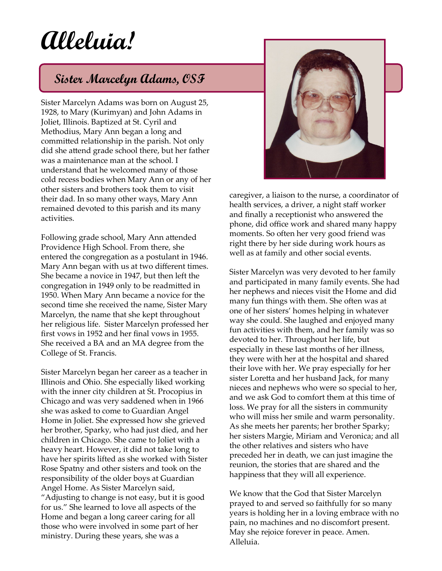## **Alleluia!**

## **Sister Marcelyn Adams, OSF**

Sister Marcelyn Adams was born on August 25, 1928, to Mary (Kurimyan) and John Adams in Joliet, Illinois. Baptized at St. Cyril and Methodius, Mary Ann began a long and committed relationship in the parish. Not only did she attend grade school there, but her father was a maintenance man at the school. I understand that he welcomed many of those cold recess bodies when Mary Ann or any of her other sisters and brothers took them to visit their dad. In so many other ways, Mary Ann remained devoted to this parish and its many activities.

Following grade school, Mary Ann attended Providence High School. From there, she entered the congregation as a postulant in 1946. Mary Ann began with us at two different times. She became a novice in 1947, but then left the congregation in 1949 only to be readmitted in 1950. When Mary Ann became a novice for the second time she received the name, Sister Mary Marcelyn, the name that she kept throughout her religious life. Sister Marcelyn professed her first vows in 1952 and her final vows in 1955. She received a BA and an MA degree from the College of St. Francis.

Sister Marcelyn began her career as a teacher in Illinois and Ohio. She especially liked working with the inner city children at St. Procopius in Chicago and was very saddened when in 1966 she was asked to come to Guardian Angel Home in Joliet. She expressed how she grieved her brother, Sparky, who had just died, and her children in Chicago. She came to Joliet with a heavy heart. However, it did not take long to have her spirits lifted as she worked with Sister Rose Spatny and other sisters and took on the responsibility of the older boys at Guardian Angel Home. As Sister Marcelyn said, "Adjusting to change is not easy, but it is good for us." She learned to love all aspects of the Home and began a long career caring for all those who were involved in some part of her ministry. During these years, she was a



caregiver, a liaison to the nurse, a coordinator of health services, a driver, a night staff worker and finally a receptionist who answered the phone, did office work and shared many happy moments. So often her very good friend was right there by her side during work hours as well as at family and other social events.

Sister Marcelyn was very devoted to her family and participated in many family events. She had her nephews and nieces visit the Home and did many fun things with them. She often was at one of her sisters' homes helping in whatever way she could. She laughed and enjoyed many fun activities with them, and her family was so devoted to her. Throughout her life, but especially in these last months of her illness, they were with her at the hospital and shared their love with her. We pray especially for her sister Loretta and her husband Jack, for many nieces and nephews who were so special to her, and we ask God to comfort them at this time of loss. We pray for all the sisters in community who will miss her smile and warm personality. As she meets her parents; her brother Sparky; her sisters Margie, Miriam and Veronica; and all the other relatives and sisters who have preceded her in death, we can just imagine the reunion, the stories that are shared and the happiness that they will all experience.

We know that the God that Sister Marcelyn prayed to and served so faithfully for so many years is holding her in a loving embrace with no pain, no machines and no discomfort present. May she rejoice forever in peace. Amen. Alleluia.